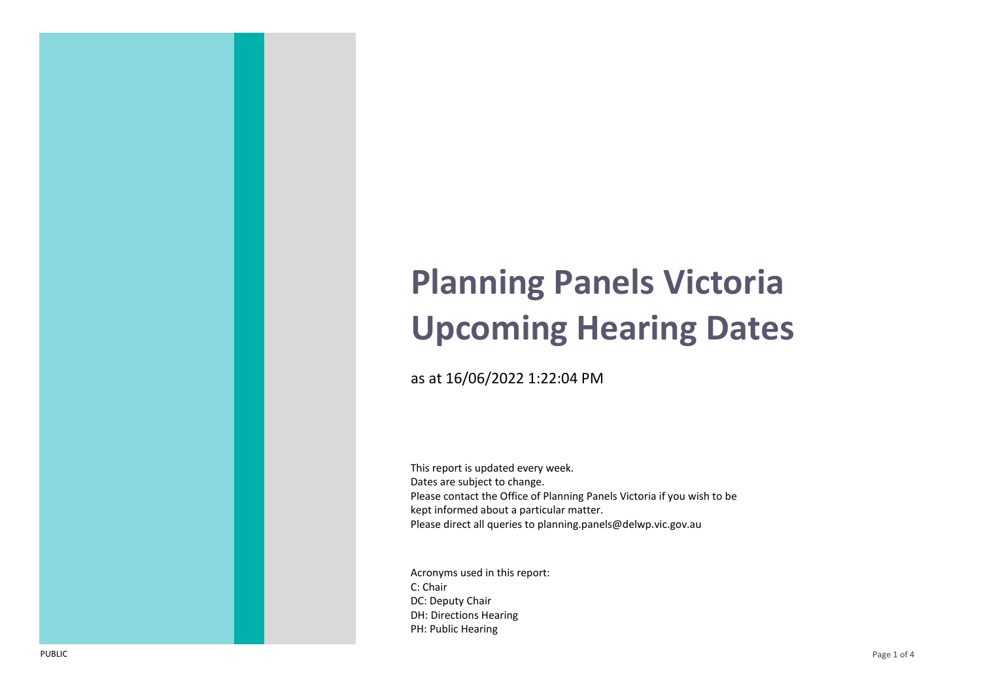## **Planning Panels Victoria Upcoming Hearing Dates**

as at 16/06/2022 1:22:04 PM

This report is updated every week. Dates are subject to change. Please contact the Office of Planning Panels Victoria if you wish to be kept informed about a particular matter. Please direct all queries to planning.panels@delwp.vic.gov.au

Acronyms used in this report: C: Chair DC: Deputy Chair DH: Directions Hearing PH: Public Hearing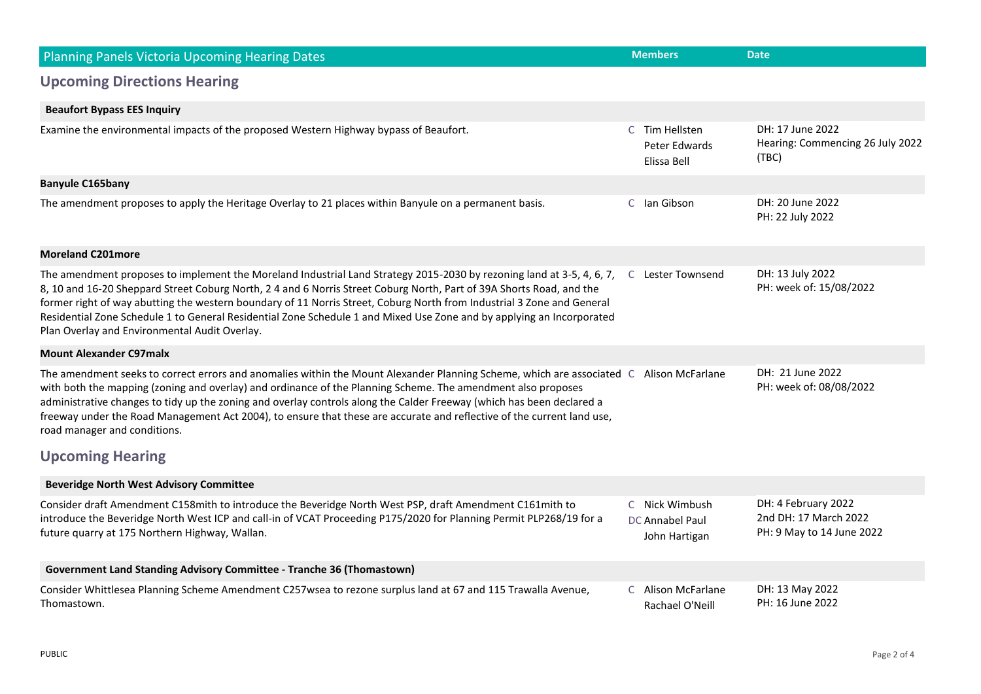| <b>Planning Panels Victoria Upcoming Hearing Dates</b>                                                                                                                                                                                                                                                                                                                                                                                                                                                                                            | <b>Members</b>                                            | <b>Date</b>                                                               |
|---------------------------------------------------------------------------------------------------------------------------------------------------------------------------------------------------------------------------------------------------------------------------------------------------------------------------------------------------------------------------------------------------------------------------------------------------------------------------------------------------------------------------------------------------|-----------------------------------------------------------|---------------------------------------------------------------------------|
| <b>Upcoming Directions Hearing</b>                                                                                                                                                                                                                                                                                                                                                                                                                                                                                                                |                                                           |                                                                           |
| <b>Beaufort Bypass EES Inquiry</b>                                                                                                                                                                                                                                                                                                                                                                                                                                                                                                                |                                                           |                                                                           |
| Examine the environmental impacts of the proposed Western Highway bypass of Beaufort.                                                                                                                                                                                                                                                                                                                                                                                                                                                             | C Tim Hellsten<br>Peter Edwards<br>Elissa Bell            | DH: 17 June 2022<br>Hearing: Commencing 26 July 2022<br>(TBC)             |
| <b>Banyule C165bany</b>                                                                                                                                                                                                                                                                                                                                                                                                                                                                                                                           |                                                           |                                                                           |
| The amendment proposes to apply the Heritage Overlay to 21 places within Banyule on a permanent basis.                                                                                                                                                                                                                                                                                                                                                                                                                                            | C lan Gibson                                              | DH: 20 June 2022<br>PH: 22 July 2022                                      |
| <b>Moreland C201more</b>                                                                                                                                                                                                                                                                                                                                                                                                                                                                                                                          |                                                           |                                                                           |
| The amendment proposes to implement the Moreland Industrial Land Strategy 2015-2030 by rezoning land at 3-5, 4, 6, 7,<br>8, 10 and 16-20 Sheppard Street Coburg North, 2 4 and 6 Norris Street Coburg North, Part of 39A Shorts Road, and the<br>former right of way abutting the western boundary of 11 Norris Street, Coburg North from Industrial 3 Zone and General<br>Residential Zone Schedule 1 to General Residential Zone Schedule 1 and Mixed Use Zone and by applying an Incorporated<br>Plan Overlay and Environmental Audit Overlay. | C Lester Townsend                                         | DH: 13 July 2022<br>PH: week of: 15/08/2022                               |
| <b>Mount Alexander C97malx</b>                                                                                                                                                                                                                                                                                                                                                                                                                                                                                                                    |                                                           |                                                                           |
| The amendment seeks to correct errors and anomalies within the Mount Alexander Planning Scheme, which are associated C Alison McFarlane<br>with both the mapping (zoning and overlay) and ordinance of the Planning Scheme. The amendment also proposes<br>administrative changes to tidy up the zoning and overlay controls along the Calder Freeway (which has been declared a<br>freeway under the Road Management Act 2004), to ensure that these are accurate and reflective of the current land use,<br>road manager and conditions.        |                                                           | DH: 21 June 2022<br>PH: week of: 08/08/2022                               |
| <b>Upcoming Hearing</b>                                                                                                                                                                                                                                                                                                                                                                                                                                                                                                                           |                                                           |                                                                           |
| <b>Beveridge North West Advisory Committee</b>                                                                                                                                                                                                                                                                                                                                                                                                                                                                                                    |                                                           |                                                                           |
| Consider draft Amendment C158mith to introduce the Beveridge North West PSP, draft Amendment C161mith to<br>introduce the Beveridge North West ICP and call-in of VCAT Proceeding P175/2020 for Planning Permit PLP268/19 for a<br>future quarry at 175 Northern Highway, Wallan.                                                                                                                                                                                                                                                                 | C Nick Wimbush<br><b>DC Annabel Paul</b><br>John Hartigan | DH: 4 February 2022<br>2nd DH: 17 March 2022<br>PH: 9 May to 14 June 2022 |
| Government Land Standing Advisory Committee - Tranche 36 (Thomastown)                                                                                                                                                                                                                                                                                                                                                                                                                                                                             |                                                           |                                                                           |
| Consider Whittlesea Planning Scheme Amendment C257wsea to rezone surplus land at 67 and 115 Trawalla Avenue,<br>Thomastown.                                                                                                                                                                                                                                                                                                                                                                                                                       | C Alison McFarlane<br>Rachael O'Neill                     | DH: 13 May 2022<br>PH: 16 June 2022                                       |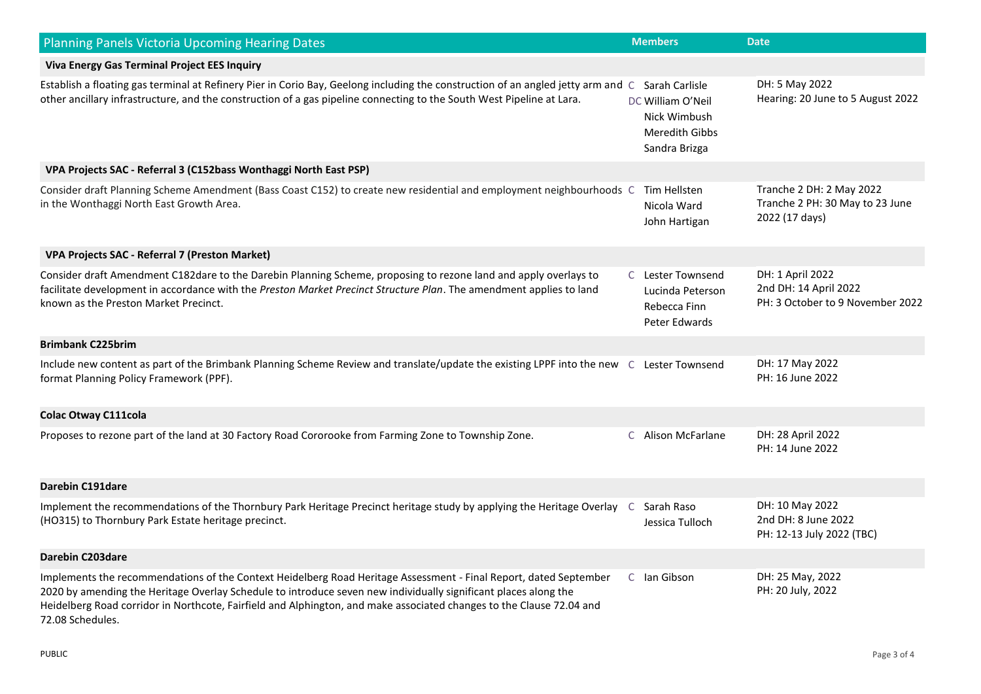| <b>Planning Panels Victoria Upcoming Hearing Dates</b>                                                                                                                                                                                                                                                                                                                           | <b>Members</b>                                                                                | <b>Date</b>                                                                   |
|----------------------------------------------------------------------------------------------------------------------------------------------------------------------------------------------------------------------------------------------------------------------------------------------------------------------------------------------------------------------------------|-----------------------------------------------------------------------------------------------|-------------------------------------------------------------------------------|
| <b>Viva Energy Gas Terminal Project EES Inquiry</b>                                                                                                                                                                                                                                                                                                                              |                                                                                               |                                                                               |
| Establish a floating gas terminal at Refinery Pier in Corio Bay, Geelong including the construction of an angled jetty arm and C<br>other ancillary infrastructure, and the construction of a gas pipeline connecting to the South West Pipeline at Lara.                                                                                                                        | Sarah Carlisle<br>DC William O'Neil<br>Nick Wimbush<br><b>Meredith Gibbs</b><br>Sandra Brizga | DH: 5 May 2022<br>Hearing: 20 June to 5 August 2022                           |
| VPA Projects SAC - Referral 3 (C152bass Wonthaggi North East PSP)                                                                                                                                                                                                                                                                                                                |                                                                                               |                                                                               |
| Consider draft Planning Scheme Amendment (Bass Coast C152) to create new residential and employment neighbourhoods C<br>in the Wonthaggi North East Growth Area.                                                                                                                                                                                                                 | Tim Hellsten<br>Nicola Ward<br>John Hartigan                                                  | Tranche 2 DH: 2 May 2022<br>Tranche 2 PH: 30 May to 23 June<br>2022 (17 days) |
| VPA Projects SAC - Referral 7 (Preston Market)                                                                                                                                                                                                                                                                                                                                   |                                                                                               |                                                                               |
| Consider draft Amendment C182dare to the Darebin Planning Scheme, proposing to rezone land and apply overlays to<br>facilitate development in accordance with the Preston Market Precinct Structure Plan. The amendment applies to land<br>known as the Preston Market Precinct.                                                                                                 | C Lester Townsend<br>Lucinda Peterson<br>Rebecca Finn<br>Peter Edwards                        | DH: 1 April 2022<br>2nd DH: 14 April 2022<br>PH: 3 October to 9 November 2022 |
| <b>Brimbank C225brim</b>                                                                                                                                                                                                                                                                                                                                                         |                                                                                               |                                                                               |
| Include new content as part of the Brimbank Planning Scheme Review and translate/update the existing LPPF into the new C Lester Townsend<br>format Planning Policy Framework (PPF).                                                                                                                                                                                              |                                                                                               | DH: 17 May 2022<br>PH: 16 June 2022                                           |
| <b>Colac Otway C111cola</b>                                                                                                                                                                                                                                                                                                                                                      |                                                                                               |                                                                               |
| Proposes to rezone part of the land at 30 Factory Road Cororooke from Farming Zone to Township Zone.                                                                                                                                                                                                                                                                             | C Alison McFarlane                                                                            | DH: 28 April 2022<br>PH: 14 June 2022                                         |
| Darebin C191dare                                                                                                                                                                                                                                                                                                                                                                 |                                                                                               |                                                                               |
| Implement the recommendations of the Thornbury Park Heritage Precinct heritage study by applying the Heritage Overlay C<br>(HO315) to Thornbury Park Estate heritage precinct.                                                                                                                                                                                                   | Sarah Raso<br>Jessica Tulloch                                                                 | DH: 10 May 2022<br>2nd DH: 8 June 2022<br>PH: 12-13 July 2022 (TBC)           |
| Darebin C203dare                                                                                                                                                                                                                                                                                                                                                                 |                                                                                               |                                                                               |
| Implements the recommendations of the Context Heidelberg Road Heritage Assessment - Final Report, dated September<br>2020 by amending the Heritage Overlay Schedule to introduce seven new individually significant places along the<br>Heidelberg Road corridor in Northcote, Fairfield and Alphington, and make associated changes to the Clause 72.04 and<br>72.08 Schedules. | C lan Gibson                                                                                  | DH: 25 May, 2022<br>PH: 20 July, 2022                                         |